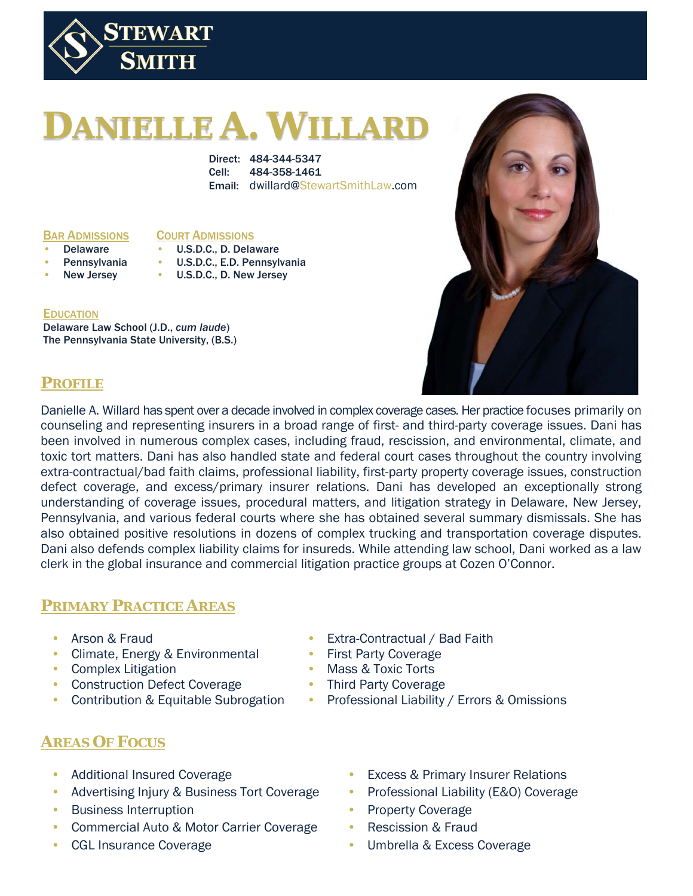

# **DANIELLE A. WILLARD**

Direct: 484-344-5347 Cell: 484-358-1461 Email: dwillard@StewartSmithLaw.com

BAR ADMISSIONS

#### COURT ADMISSIONS

- **Delaware**
- U.S.D.C., D. Delaware • U.S.D.C., E.D. Pennsylvania
- **Pennsylvania** New Jersey
- U.S.D.C., D. New Jersey

#### **EDUCATION**

Delaware Law School (J.D., *cum laude*) The Pennsylvania State University, (B.S.)



## **PROFILE**

Danielle A. Willard has spent over a decade involved in complex coverage cases. Her practice focuses primarily on counseling and representing insurers in a broad range of first- and third-party coverage issues. Dani has been involved in numerous complex cases, including fraud, rescission, and environmental, climate, and toxic tort matters. Dani has also handled state and federal court cases throughout the country involving extra-contractual/bad faith claims, professional liability, first-party property coverage issues, construction defect coverage, and excess/primary insurer relations. Dani has developed an exceptionally strong understanding of coverage issues, procedural matters, and litigation strategy in Delaware, New Jersey, Pennsylvania, and various federal courts where she has obtained several summary dismissals. She has also obtained positive resolutions in dozens of complex trucking and transportation coverage disputes. Dani also defends complex liability claims for insureds. While attending law school, Dani worked as a law clerk in the global insurance and commercial litigation practice groups at Cozen O'Connor.

## **PRIMARY PRACTICE AREAS**

- Arson & Fraud
- Climate, Energy & Environmental
- Complex Litigation
- Construction Defect Coverage
- Contribution & Equitable Subrogation
- Extra-Contractual / Bad Faith
- First Party Coverage
- Mass & Toxic Torts
- Third Party Coverage
- Professional Liability / Errors & Omissions

## **AREAS OF FOCUS**

- Additional Insured Coverage
- Advertising Injury & Business Tort Coverage
- Business Interruption
- Commercial Auto & Motor Carrier Coverage
- CGL Insurance Coverage
- **Excess & Primary Insurer Relations**
- Professional Liability (E&O) Coverage
- Property Coverage
- Rescission & Fraud
- Umbrella & Excess Coverage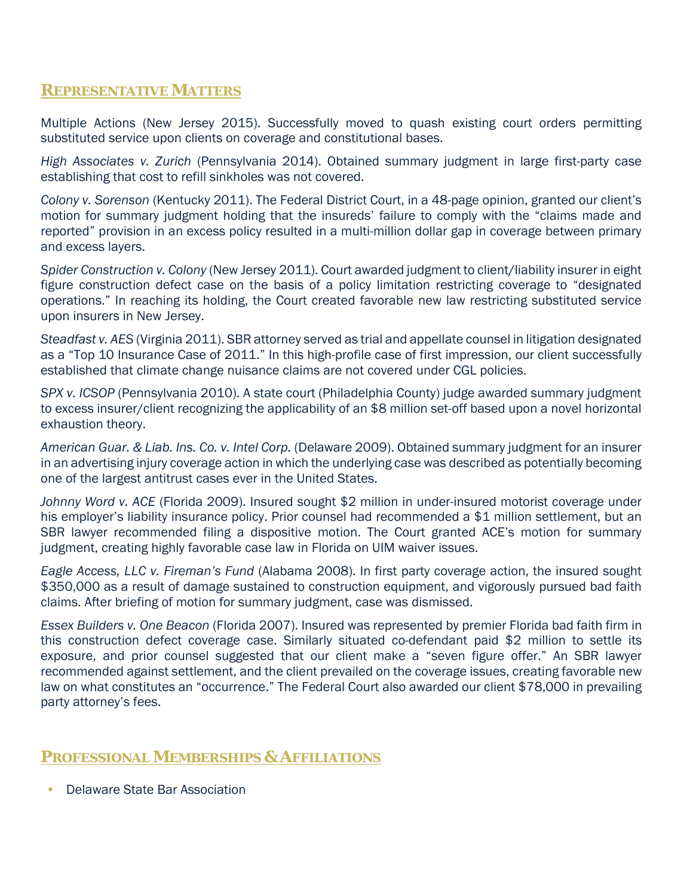#### **REPRESENTATIVE MATTERS**

Multiple Actions (New Jersey 2015). Successfully moved to quash existing court orders permitting substituted service upon clients on coverage and constitutional bases.

*High Associates v. Zurich* (Pennsylvania 2014). Obtained summary judgment in large first-party case establishing that cost to refill sinkholes was not covered.

*Colony v. Sorenson* (Kentucky 2011). The Federal District Court, in a 48-page opinion, granted our client's motion for summary judgment holding that the insureds' failure to comply with the "claims made and reported" provision in an excess policy resulted in a multi-million dollar gap in coverage between primary and excess layers.

*Spider Construction v. Colony* (New Jersey 2011). Court awarded judgment to client/liability insurer in eight figure construction defect case on the basis of a policy limitation restricting coverage to "designated operations." In reaching its holding, the Court created favorable new law restricting substituted service upon insurers in New Jersey.

*Steadfast v. AES* (Virginia 2011). SBR attorney served as trial and appellate counsel in litigation designated as a "Top 10 Insurance Case of 2011." In this high-profile case of first impression, our client successfully established that climate change nuisance claims are not covered under CGL policies.

*SPX v. ICSOP* (Pennsylvania 2010). A state court (Philadelphia County) judge awarded summary judgment to excess insurer/client recognizing the applicability of an \$8 million set-off based upon a novel horizontal exhaustion theory.

*American Guar. & Liab. Ins. Co. v. Intel Corp.* (Delaware 2009). Obtained summary judgment for an insurer in an advertising injury coverage action in which the underlying case was described as potentially becoming one of the largest antitrust cases ever in the United States.

*Johnny Word v. ACE* (Florida 2009). Insured sought \$2 million in under-insured motorist coverage under his employer's liability insurance policy. Prior counsel had recommended a \$1 million settlement, but an SBR lawyer recommended filing a dispositive motion. The Court granted ACE's motion for summary judgment, creating highly favorable case law in Florida on UIM waiver issues.

*Eagle Access, LLC v. Fireman's Fund* (Alabama 2008). In first party coverage action, the insured sought \$350,000 as a result of damage sustained to construction equipment, and vigorously pursued bad faith claims. After briefing of motion for summary judgment, case was dismissed.

*Essex Builders v. One Beacon* (Florida 2007). Insured was represented by premier Florida bad faith firm in this construction defect coverage case. Similarly situated co-defendant paid \$2 million to settle its exposure, and prior counsel suggested that our client make a "seven figure offer." An SBR lawyer recommended against settlement, and the client prevailed on the coverage issues, creating favorable new law on what constitutes an "occurrence." The Federal Court also awarded our client \$78,000 in prevailing party attorney's fees.

## **PROFESSIONAL MEMBERSHIPS & AFFILIATIONS**

• Delaware State Bar Association